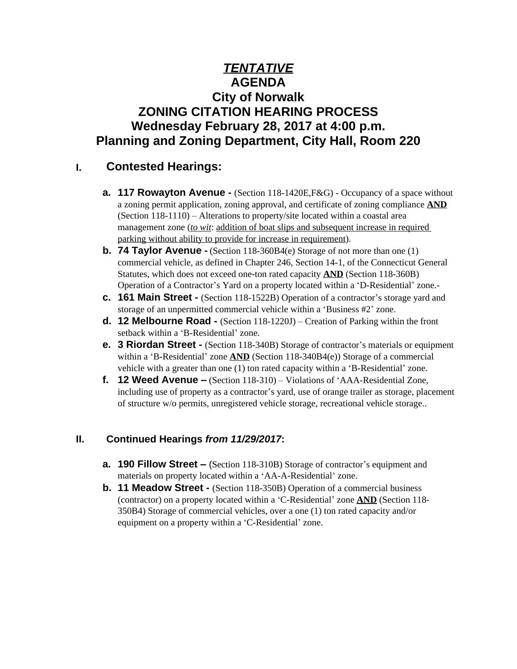# *TENTATIVE* **AGENDA City of Norwalk ZONING CITATION HEARING PROCESS Wednesday February 28, 2017 at 4:00 p.m. Planning and Zoning Department, City Hall, Room 220**

## **I. Contested Hearings:**

- **a. 117 Rowayton Avenue** (Section 118-1420E,F&G) Occupancy of a space without a zoning permit application, zoning approval, and certificate of zoning compliance **AND** (Section 118-1110) – Alterations to property/site located within a coastal area management zone (*to wit*: addition of boat slips and subsequent increase in required parking without ability to provide for increase in requirement).
- **b. 74 Taylor Avenue -** (Section 118-360B4(e) Storage of not more than one (1) commercial vehicle, as defined in Chapter 246, Section 14-1, of the Connecticut General Statutes, which does not exceed one-ton rated capacity **AND** (Section 118-360B) Operation of a Contractor's Yard on a property located within a 'D-Residential' zone.-
- **c. 161 Main Street -** (Section 118-1522B) Operation of a contractor's storage yard and storage of an unpermitted commercial vehicle within a 'Business #2' zone.
- **d. 12 Melbourne Road -** (Section 118-1220J) Creation of Parking within the front setback within a 'B-Residential' zone.
- **e. 3 Riordan Street** (Section 118-340B) Storage of contractor's materials or equipment within a 'B-Residential' zone **AND** (Section 118-340B4(e)) Storage of a commercial vehicle with a greater than one (1) ton rated capacity within a 'B-Residential' zone.
- **f. 12 Weed Avenue –** (Section 118-310) Violations of 'AAA-Residential Zone, including use of property as a contractor's yard, use of orange trailer as storage, placement of structure w/o permits, unregistered vehicle storage, recreational vehicle storage..

### **II. Continued Hearings** *from 11/29/2017***:**

- **a. 190 Fillow Street –** (Section 118-310B) Storage of contractor's equipment and materials on property located within a 'AA-A-Residential' zone.
- **b. 11 Meadow Street -** (Section 118-350B) Operation of a commercial business (contractor) on a property located within a 'C-Residential' zone **AND** (Section 118- 350B4) Storage of commercial vehicles, over a one (1) ton rated capacity and/or equipment on a property within a 'C-Residential' zone.